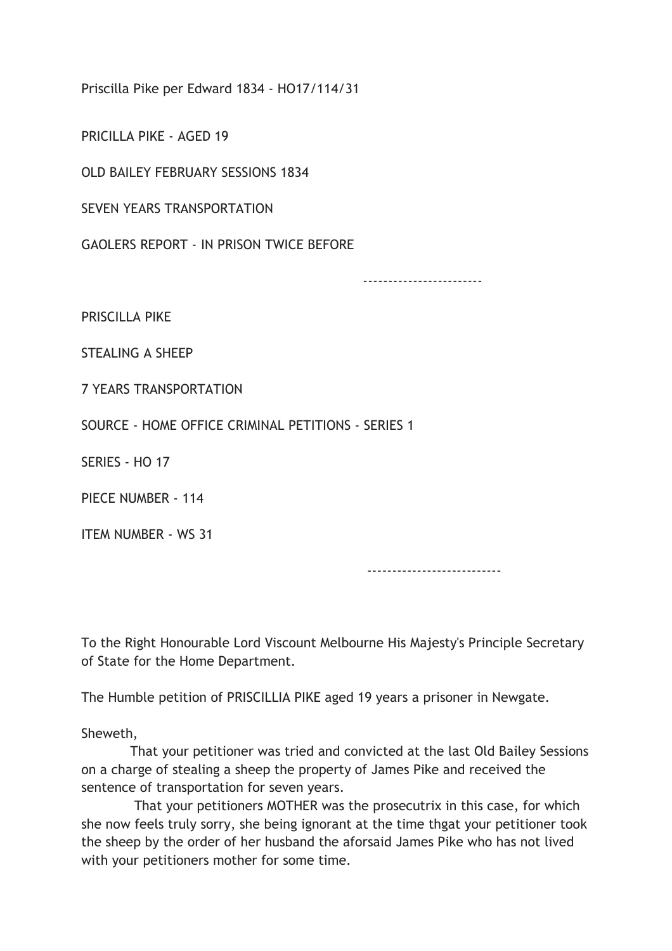Priscilla Pike per Edward 1834 - HO17/114/31

PRICILLA PIKE - AGED 19

OLD BAILEY FEBRUARY SESSIONS 1834

SEVEN YEARS TRANSPORTATION

GAOLERS REPORT - IN PRISON TWICE BEFORE

------------------------

PRISCILLA PIKE

STEALING A SHEEP

7 YEARS TRANSPORTATION

SOURCE - HOME OFFICE CRIMINAL PETITIONS - SERIES 1

SERIES - HO 17

PIECE NUMBER - 114

ITEM NUMBER - WS 31

---------------------------

To the Right Honourable Lord Viscount Melbourne His Majesty's Principle Secretary of State for the Home Department.

The Humble petition of PRISCILLIA PIKE aged 19 years a prisoner in Newgate.

Sheweth,

 That your petitioner was tried and convicted at the last Old Bailey Sessions on a charge of stealing a sheep the property of James Pike and received the sentence of transportation for seven years.

 That your petitioners MOTHER was the prosecutrix in this case, for which she now feels truly sorry, she being ignorant at the time thgat your petitioner took the sheep by the order of her husband the aforsaid James Pike who has not lived with your petitioners mother for some time.